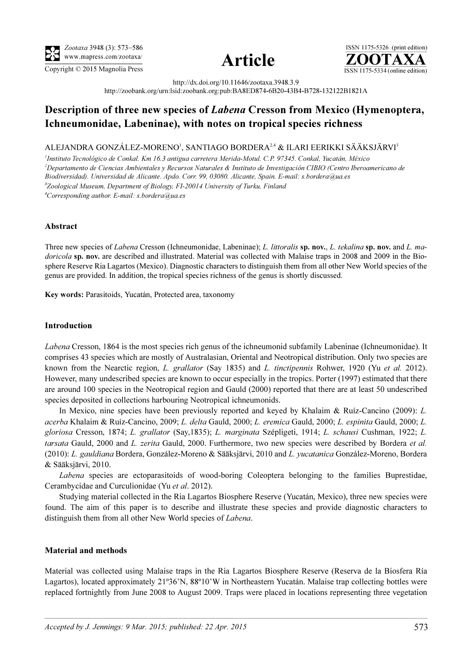





http://dx.doi.org/10.11646/zootaxa.3948.3.9 http://zoobank.org/urn:lsid:zoobank.org:pub:BA8ED874-6B20-43B4-B728-132122B1821A

# Description of three new species of Labena Cresson from Mexico (Hymenoptera, Ichneumonidae, Labeninae), with notes on tropical species richness

## ALEJANDRA GONZÁLEZ-MORENO', SANTIAGO BORDERA $^{2,4}$  & ILARI EERIKKI SÄÄKSJÄRVI $^3$

<sup>1</sup>Instituto Tecnológico de Conkal. Km 16.3 antigua carretera Merida-Motul. C.P. 97345. Conkal, Yucatán, México 2 Departamento de Ciencias Ambientales y Recursos Naturales & Instituto de Investigación CIBIO (Centro Iberoamericano de Biodiversidad). Universidad de Alicante. Apdo. Corr. 99, 03080. Alicante, Spain. E-mail: [s.bordera@ua.es](mailto:s.bordera@ua.es) <sup>3</sup>Zoological Museum, Department of Biology, FI-20014 University of Turku, Finland 4 Corresponding author. E-mail: s.bordera@ua.es

### Abstract

Three new species of Labena Cresson (Ichneumonidae, Labeninae); L. littoralis sp. nov., L. tekalina sp. nov. and L. madoricola sp. nov. are described and illustrated. Material was collected with Malaise traps in 2008 and 2009 in the Biosphere Reserve Ria Lagartos (Mexico). Diagnostic characters to distinguish them from all other New World species of the genus are provided. In addition, the tropical species richness of the genus is shortly discussed.

Key words: Parasitoids, Yucatán, Protected area, taxonomy

#### Introduction

Labena Cresson, 1864 is the most species rich genus of the ichneumonid subfamily Labeninae (Ichneumonidae). It comprises 43 species which are mostly of Australasian, Oriental and Neotropical distribution. Only two species are known from the Nearctic region, L. grallator (Say 1835) and L. tinctipennis Rohwer, 1920 (Yu et al. 2012). However, many undescribed species are known to occur especially in the tropics. Porter (1997) estimated that there are around 100 species in the Neotropical region and Gauld (2000) reported that there are at least 50 undescribed species deposited in collections harbouring Neotropical ichneumonids.

In Mexico, nine species have been previously reported and keyed by Khalaim & Ruíz-Cancino (2009): L. acerba Khalaim & Ruíz-Cancino, 2009; L. delta Gauld, 2000; L. eremica Gauld, 2000; L. espinita Gauld, 2000; L. gloriosa Cresson, 1874; L. grallator (Say,1835); L. marginata Szépligeti, 1914; L. schausi Cushman, 1922; L. tarsata Gauld, 2000 and L. zerita Gauld, 2000. Furthermore, two new species were described by Bordera et al. (2010): L. gauldiana Bordera, González-Moreno & Sääksjärvi, 2010 and L. yucatanica González-Moreno, Bordera & Sääksjärvi, 2010.

Labena species are ectoparasitoids of wood-boring Coleoptera belonging to the families Buprestidae, Cerambycidae and Curculionidae (Yu et al. 2012).

Studying material collected in the Ria Lagartos Biosphere Reserve (Yucatán, Mexico), three new species were found. The aim of this paper is to describe and illustrate these species and provide diagnostic characters to distinguish them from all other New World species of Labena.

#### Material and methods

Material was collected using Malaise traps in the Ria Lagartos Biosphere Reserve (Reserva de la Biosfera Ría Lagartos), located approximately 21º36'N, 88º10'W in Northeastern Yucatán. Malaise trap collecting bottles were replaced fortnightly from June 2008 to August 2009. Traps were placed in locations representing three vegetation